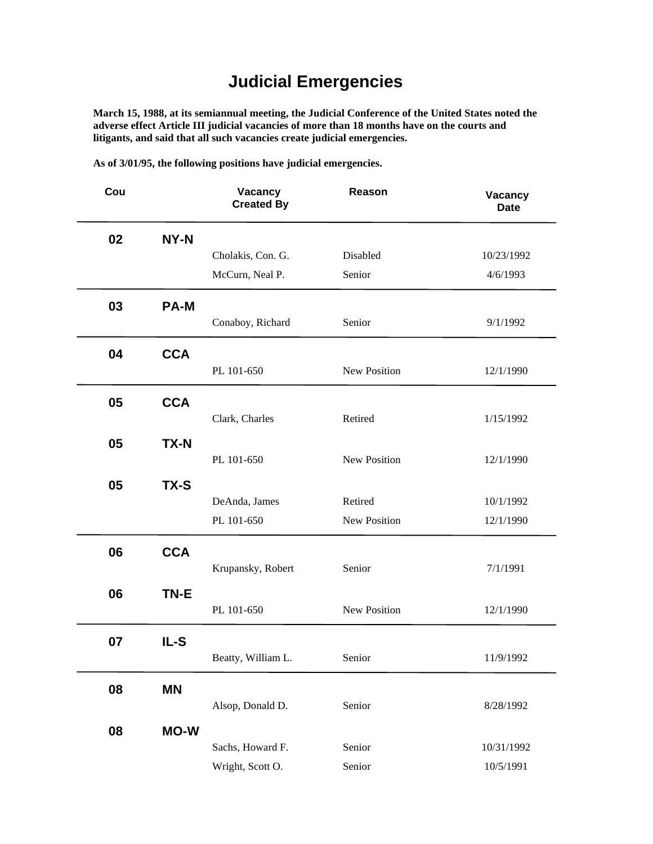## **Judicial Emergencies**

**March 15, 1988, at its semiannual meeting, the Judicial Conference of the United States noted the adverse effect Article III judicial vacancies of more than 18 months have on the courts and litigants, and said that all such vacancies create judicial emergencies.**

**As of 3/01/95, the following positions have judicial emergencies.**

| Cou |             | Vacancy<br><b>Created By</b> | Reason       | Vacancy<br><b>Date</b> |
|-----|-------------|------------------------------|--------------|------------------------|
| 02  | NY-N        |                              |              |                        |
|     |             | Cholakis, Con. G.            | Disabled     | 10/23/1992             |
|     |             | McCurn, Neal P.              | Senior       | 4/6/1993               |
| 03  | <b>PA-M</b> | Conaboy, Richard             | Senior       | 9/1/1992               |
|     |             |                              |              |                        |
| 04  | <b>CCA</b>  | PL 101-650                   | New Position | 12/1/1990              |
| 05  | <b>CCA</b>  |                              |              |                        |
|     |             | Clark, Charles               | Retired      | 1/15/1992              |
| 05  | <b>TX-N</b> |                              |              |                        |
|     |             | PL 101-650                   | New Position | 12/1/1990              |
| 05  | TX-S        |                              |              |                        |
|     |             | DeAnda, James                | Retired      | 10/1/1992              |
|     |             | PL 101-650                   | New Position | 12/1/1990              |
| 06  | <b>CCA</b>  |                              |              |                        |
|     |             | Krupansky, Robert            | Senior       | 7/1/1991               |
| 06  | TN-E        |                              |              |                        |
|     |             | PL 101-650                   | New Position | 12/1/1990              |
| 07  | IL-S        |                              |              |                        |
|     |             | Beatty, William L.           | Senior       | 11/9/1992              |
| 08  | <b>MN</b>   |                              |              |                        |
|     |             | Alsop, Donald D.             | Senior       | 8/28/1992              |
| 08  | <b>MO-W</b> |                              |              |                        |
|     |             | Sachs, Howard F.             | Senior       | 10/31/1992             |
|     |             | Wright, Scott O.             | Senior       | 10/5/1991              |